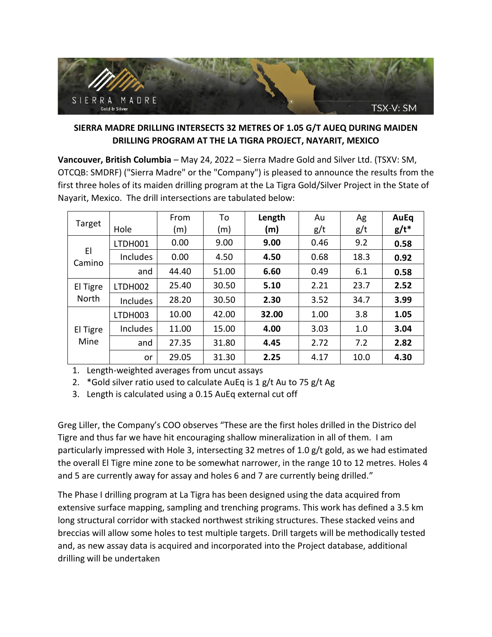

# **SIERRA MADRE DRILLING INTERSECTS 32 METRES OF 1.05 G/T AUEQ DURING MAIDEN DRILLING PROGRAM AT THE LA TIGRA PROJECT, NAYARIT, MEXICO**

**Vancouver, British Columbia** – May 24, 2022 – Sierra Madre Gold and Silver Ltd. (TSXV: SM, OTCQB: SMDRF) ("Sierra Madre" or the "Company") is pleased to announce the results from the first three holes of its maiden drilling program at the La Tigra Gold/Silver Project in the State of Nayarit, Mexico. The drill intersections are tabulated below:

| Target            | Hole     | From<br>(m) | To<br>(m) | Length<br>(m) | Au<br>g/t | Ag<br>g/t | <b>AuEq</b><br>$g/t^*$ |
|-------------------|----------|-------------|-----------|---------------|-----------|-----------|------------------------|
| EI<br>Camino      | LTDH001  | 0.00        | 9.00      | 9.00          | 0.46      | 9.2       | 0.58                   |
|                   | Includes | 0.00        | 4.50      | 4.50          | 0.68      | 18.3      | 0.92                   |
|                   | and      | 44.40       | 51.00     | 6.60          | 0.49      | 6.1       | 0.58                   |
| El Tigre<br>North | LTDH002  | 25.40       | 30.50     | 5.10          | 2.21      | 23.7      | 2.52                   |
|                   | Includes | 28.20       | 30.50     | 2.30          | 3.52      | 34.7      | 3.99                   |
| El Tigre<br>Mine  | LTDH003  | 10.00       | 42.00     | 32.00         | 1.00      | 3.8       | 1.05                   |
|                   | Includes | 11.00       | 15.00     | 4.00          | 3.03      | 1.0       | 3.04                   |
|                   | and      | 27.35       | 31.80     | 4.45          | 2.72      | 7.2       | 2.82                   |
|                   | or       | 29.05       | 31.30     | 2.25          | 4.17      | 10.0      | 4.30                   |

1. Length-weighted averages from uncut assays

2. \*Gold silver ratio used to calculate AuEq is 1 g/t Au to 75 g/t Ag

3. Length is calculated using a 0.15 AuEq external cut off

Greg Liller, the Company's COO observes "These are the first holes drilled in the Districo del Tigre and thus far we have hit encouraging shallow mineralization in all of them. I am particularly impressed with Hole 3, intersecting 32 metres of 1.0 g/t gold, as we had estimated the overall El Tigre mine zone to be somewhat narrower, in the range 10 to 12 metres. Holes 4 and 5 are currently away for assay and holes 6 and 7 are currently being drilled."

The Phase I drilling program at La Tigra has been designed using the data acquired from extensive surface mapping, sampling and trenching programs. This work has defined a 3.5 km long structural corridor with stacked northwest striking structures. These stacked veins and breccias will allow some holes to test multiple targets. Drill targets will be methodically tested and, as new assay data is acquired and incorporated into the Project database, additional drilling will be undertaken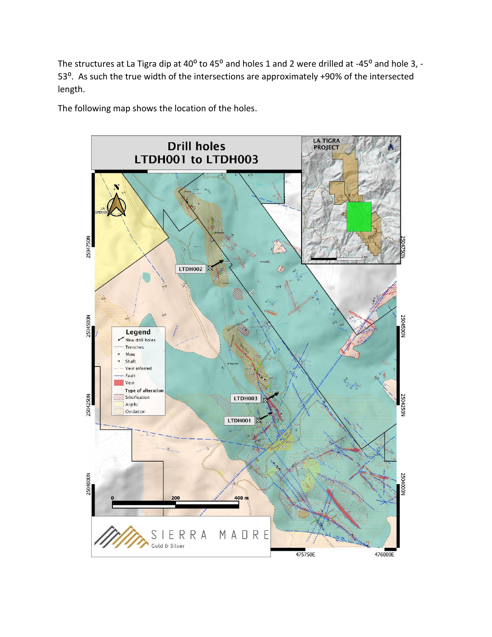The structures at La Tigra dip at 40<sup>o</sup> to 45<sup>o</sup> and holes 1 and 2 were drilled at -45<sup>o</sup> and hole 3, -53<sup>o</sup>. As such the true width of the intersections are approximately +90% of the intersected length.

The following map shows the location of the holes.

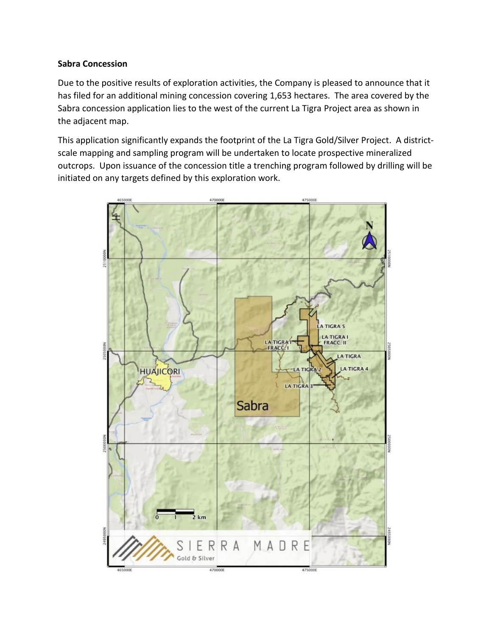### **Sabra Concession**

Due to the positive results of exploration activities, the Company is pleased to announce that it has filed for an additional mining concession covering 1,653 hectares. The area covered by the Sabra concession application lies to the west of the current La Tigra Project area as shown in the adjacent map.

This application significantly expands the footprint of the La Tigra Gold/Silver Project. A districtscale mapping and sampling program will be undertaken to locate prospective mineralized outcrops. Upon issuance of the concession title a trenching program followed by drilling will be initiated on any targets defined by this exploration work.

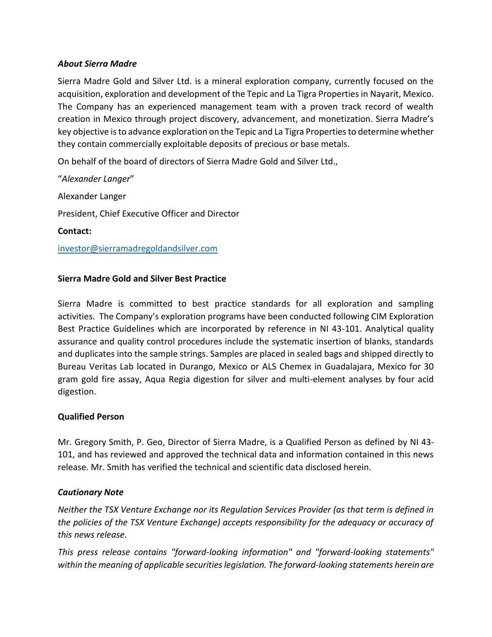### *About Sierra Madre*

Sierra Madre Gold and Silver Ltd. is a mineral exploration company, currently focused on the acquisition, exploration and development of the Tepic and La Tigra Properties in Nayarit, Mexico. The Company has an experienced management team with a proven track record of wealth creation in Mexico through project discovery, advancement, and monetization. Sierra Madre's key objective is to advance exploration on the Tepic and La Tigra Properties to determine whether they contain commercially exploitable deposits of precious or base metals.

On behalf of the board of directors of Sierra Madre Gold and Silver Ltd.,

"*Alexander Langer*" Alexander Langer President, Chief Executive Officer and Director **Contact:** investor@sierramadregoldandsilver.com

## **Sierra Madre Gold and Silver Best Practice**

Sierra Madre is committed to best practice standards for all exploration and sampling activities. The Company's exploration programs have been conducted following CIM Exploration Best Practice Guidelines which are incorporated by reference in NI 43-101. Analytical quality assurance and quality control procedures include the systematic insertion of blanks, standards and duplicates into the sample strings. Samples are placed in sealed bags and shipped directly to Bureau Veritas Lab located in Durango, Mexico or ALS Chemex in Guadalajara, Mexico for 30 gram gold fire assay, Aqua Regia digestion for silver and multi-element analyses by four acid digestion.

### **Qualified Person**

Mr. Gregory Smith, P. Geo, Director of Sierra Madre, is a Qualified Person as defined by NI 43- 101, and has reviewed and approved the technical data and information contained in this news release. Mr. Smith has verified the technical and scientific data disclosed herein.

### *Cautionary Note*

*Neither the TSX Venture Exchange nor its Regulation Services Provider (as that term is defined in the policies of the TSX Venture Exchange) accepts responsibility for the adequacy or accuracy of this news release.* 

*This press release contains "forward-looking information" and "forward-looking statements" within the meaning of applicable securities legislation. The forward-looking statements herein are*